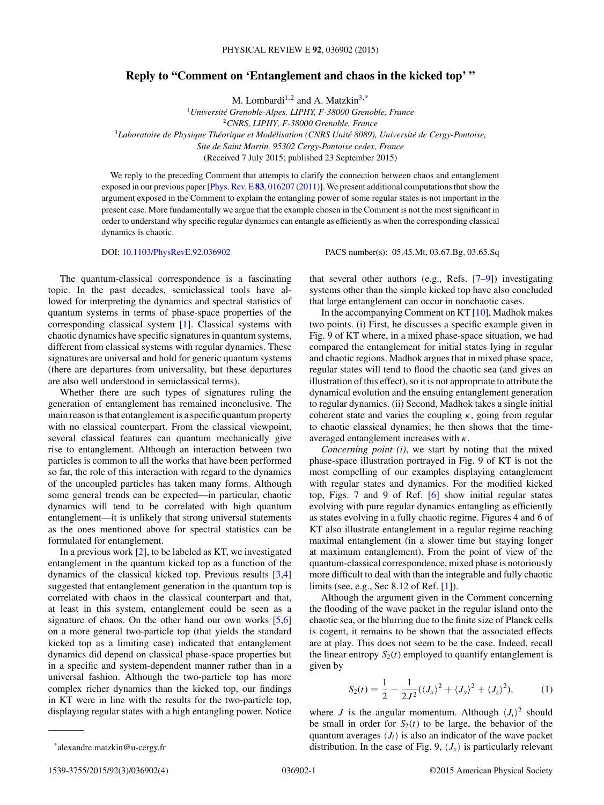## <span id="page-0-0"></span>**Reply to "Comment on 'Entanglement and chaos in the kicked top' "**

M. Lombardi<sup>1,2</sup> and A. Matzkin<sup>3,\*</sup>

<sup>1</sup>*Universite Grenoble-Alpes, LIPHY, F-38000 Grenoble, France ´*

<sup>2</sup>*CNRS, LIPHY, F-38000 Grenoble, France*

<sup>3</sup>*Laboratoire de Physique Theorique et Mod ´ elisation (CNRS Unit ´ e 8089), Universit ´ e de Cergy-Pontoise, ´*

*Site de Saint Martin, 95302 Cergy-Pontoise cedex, France*

(Received 7 July 2015; published 23 September 2015)

We reply to the preceding Comment that attempts to clarify the connection between chaos and entanglement exposed in our previous paper [\[Phys. Rev. E](http://dx.doi.org/10.1103/PhysRevE.83.016207) **[83](http://dx.doi.org/10.1103/PhysRevE.83.016207)**, [016207](http://dx.doi.org/10.1103/PhysRevE.83.016207) [\(2011\)](http://dx.doi.org/10.1103/PhysRevE.83.016207)]. We present additional computations that show the argument exposed in the Comment to explain the entangling power of some regular states is not important in the present case. More fundamentally we argue that the example chosen in the Comment is not the most significant in order to understand why specific regular dynamics can entangle as efficiently as when the corresponding classical dynamics is chaotic.

DOI: [10.1103/PhysRevE.92.036902](http://dx.doi.org/10.1103/PhysRevE.92.036902) PACS number(s): 05*.*45*.*Mt*,* 03*.*67*.*Bg*,* 03*.*65*.*Sq

The quantum-classical correspondence is a fascinating topic. In the past decades, semiclassical tools have allowed for interpreting the dynamics and spectral statistics of quantum systems in terms of phase-space properties of the corresponding classical system [\[1\]](#page-3-0). Classical systems with chaotic dynamics have specific signatures in quantum systems, different from classical systems with regular dynamics. These signatures are universal and hold for generic quantum systems (there are departures from universality, but these departures are also well understood in semiclassical terms).

Whether there are such types of signatures ruling the generation of entanglement has remained inconclusive. The main reason is that entanglement is a specific quantum property with no classical counterpart. From the classical viewpoint, several classical features can quantum mechanically give rise to entanglement. Although an interaction between two particles is common to all the works that have been performed so far, the role of this interaction with regard to the dynamics of the uncoupled particles has taken many forms. Although some general trends can be expected—in particular, chaotic dynamics will tend to be correlated with high quantum entanglement—it is unlikely that strong universal statements as the ones mentioned above for spectral statistics can be formulated for entanglement.

In a previous work [\[2\]](#page-3-0), to be labeled as KT, we investigated entanglement in the quantum kicked top as a function of the dynamics of the classical kicked top. Previous results [\[3,4\]](#page-3-0) suggested that entanglement generation in the quantum top is correlated with chaos in the classical counterpart and that, at least in this system, entanglement could be seen as a signature of chaos. On the other hand our own works  $[5,6]$ on a more general two-particle top (that yields the standard kicked top as a limiting case) indicated that entanglement dynamics did depend on classical phase-space properties but in a specific and system-dependent manner rather than in a universal fashion. Although the two-particle top has more complex richer dynamics than the kicked top, our findings in KT were in line with the results for the two-particle top, displaying regular states with a high entangling power. Notice

that several other authors (e.g., Refs. [\[7–9\]](#page-3-0)) investigating systems other than the simple kicked top have also concluded that large entanglement can occur in nonchaotic cases.

In the accompanying Comment on  $KT$  [\[10\]](#page-3-0), Madhok makes two points. (i) First, he discusses a specific example given in Fig. 9 of KT where, in a mixed phase-space situation, we had compared the entanglement for initial states lying in regular and chaotic regions. Madhok argues that in mixed phase space, regular states will tend to flood the chaotic sea (and gives an illustration of this effect), so it is not appropriate to attribute the dynamical evolution and the ensuing entanglement generation to regular dynamics. (ii) Second, Madhok takes a single initial coherent state and varies the coupling  $\kappa$ , going from regular to chaotic classical dynamics; he then shows that the timeaveraged entanglement increases with *κ*.

*Concerning point (i)*, we start by noting that the mixed phase-space illustration portrayed in Fig. 9 of KT is not the most compelling of our examples displaying entanglement with regular states and dynamics. For the modified kicked top, Figs. 7 and 9 of Ref.  $[6]$  show initial regular states evolving with pure regular dynamics entangling as efficiently as states evolving in a fully chaotic regime. Figures 4 and 6 of KT also illustrate entanglement in a regular regime reaching maximal entanglement (in a slower time but staying longer at maximum entanglement). From the point of view of the quantum-classical correspondence, mixed phase is notoriously more difficult to deal with than the integrable and fully chaotic limits (see, e.g., Sec 8.12 of Ref. [\[1\]](#page-3-0)).

Although the argument given in the Comment concerning the flooding of the wave packet in the regular island onto the chaotic sea, or the blurring due to the finite size of Planck cells is cogent, it remains to be shown that the associated effects are at play. This does not seem to be the case. Indeed, recall the linear entropy  $S_2(t)$  employed to quantify entanglement is given by

$$
S_2(t) = \frac{1}{2} - \frac{1}{2J^2} (\langle J_x \rangle^2 + \langle J_y \rangle^2 + \langle J_z \rangle^2), \tag{1}
$$

where *J* is the angular momentum. Although  $\langle J_i \rangle^2$  should be small in order for  $S_2(t)$  to be large, the behavior of the quantum averages  $\langle J_i \rangle$  is also an indicator of the wave packet distribution. In the case of Fig. 9,  $\langle J_x \rangle$  is particularly relevant

<sup>\*</sup>alexandre.matzkin@u-cergy.fr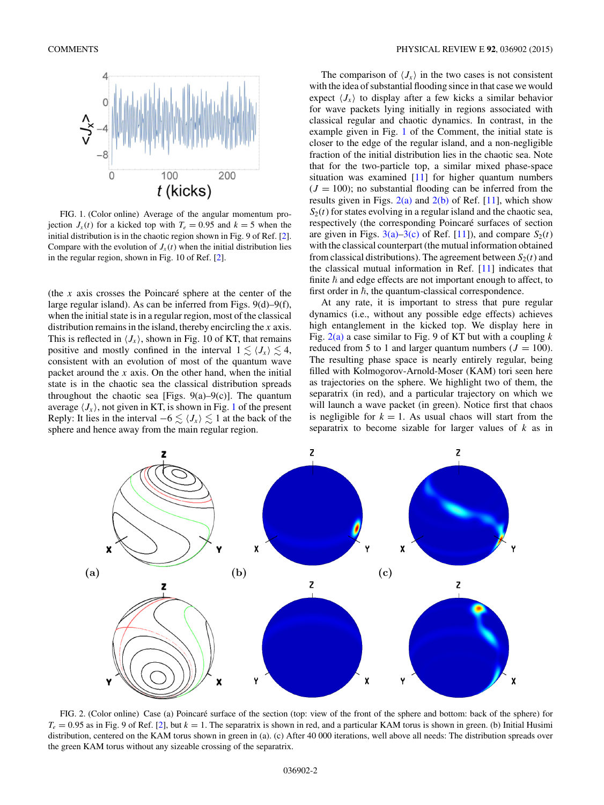<span id="page-1-0"></span>

FIG. 1. (Color online) Average of the angular momentum projection  $J_x(t)$  for a kicked top with  $T_e = 0.95$  and  $k = 5$  when the initial distribution is in the chaotic region shown in Fig. 9 of Ref. [\[2\]](#page-3-0). Compare with the evolution of  $J_x(t)$  when the initial distribution lies in the regular region, shown in Fig. 10 of Ref. [\[2\]](#page-3-0).

(the *x* axis crosses the Poincaré sphere at the center of the large regular island). As can be inferred from Figs. 9(d)–9(f), when the initial state is in a regular region, most of the classical distribution remains in the island, thereby encircling the *x* axis. This is reflected in  $\langle J_x \rangle$ , shown in Fig. 10 of KT, that remains positive and mostly confined in the interval  $1 \lesssim \langle J_x \rangle \lesssim 4$ , consistent with an evolution of most of the quantum wave packet around the *x* axis. On the other hand, when the initial state is in the chaotic sea the classical distribution spreads throughout the chaotic sea [Figs.  $9(a)$ – $9(c)$ ]. The quantum average  $\langle J_x \rangle$ , not given in KT, is shown in Fig. 1 of the present Reply: It lies in the interval  $-6 \lesssim \langle J_x \rangle \lesssim 1$  at the back of the sphere and hence away from the main regular region.

The comparison of  $\langle J_x \rangle$  in the two cases is not consistent with the idea of substantial flooding since in that case we would expect  $\langle J_x \rangle$  to display after a few kicks a similar behavior for wave packets lying initially in regions associated with classical regular and chaotic dynamics. In contrast, in the example given in Fig. 1 of the Comment, the initial state is closer to the edge of the regular island, and a non-negligible fraction of the initial distribution lies in the chaotic sea. Note that for the two-particle top, a similar mixed phase-space situation was examined [\[11\]](#page-3-0) for higher quantum numbers  $(J = 100)$ ; no substantial flooding can be inferred from the results given in Figs.  $2(a)$  and  $2(b)$  of Ref. [\[11\]](#page-3-0), which show  $S<sub>2</sub>(t)$  for states evolving in a regular island and the chaotic sea, respectively (the corresponding Poincaré surfaces of section are given in Figs.  $3(a)-3(c)$  of Ref. [\[11\]](#page-3-0)), and compare  $S_2(t)$ with the classical counterpart (the mutual information obtained from classical distributions). The agreement between  $S_2(t)$  and the classical mutual information in Ref. [\[11\]](#page-3-0) indicates that finite  $\hbar$  and edge effects are not important enough to affect, to first order in  $\hbar$ , the quantum-classical correspondence.

At any rate, it is important to stress that pure regular dynamics (i.e., without any possible edge effects) achieves high entanglement in the kicked top. We display here in Fig. 2(a) a case similar to Fig. 9 of KT but with a coupling *k* reduced from 5 to 1 and larger quantum numbers  $(J = 100)$ . The resulting phase space is nearly entirely regular, being filled with Kolmogorov-Arnold-Moser (KAM) tori seen here as trajectories on the sphere. We highlight two of them, the separatrix (in red), and a particular trajectory on which we will launch a wave packet (in green). Notice first that chaos is negligible for  $k = 1$ . As usual chaos will start from the separatrix to become sizable for larger values of *k* as in



FIG. 2. (Color online) Case (a) Poincaré surface of the section (top: view of the front of the sphere and bottom: back of the sphere) for  $T_e = 0.95$  as in Fig. 9 of Ref. [\[2\]](#page-3-0), but  $k = 1$ . The separatrix is shown in red, and a particular KAM torus is shown in green. (b) Initial Husimi distribution, centered on the KAM torus shown in green in (a). (c) After 40 000 iterations, well above all needs: The distribution spreads over the green KAM torus without any sizeable crossing of the separatrix.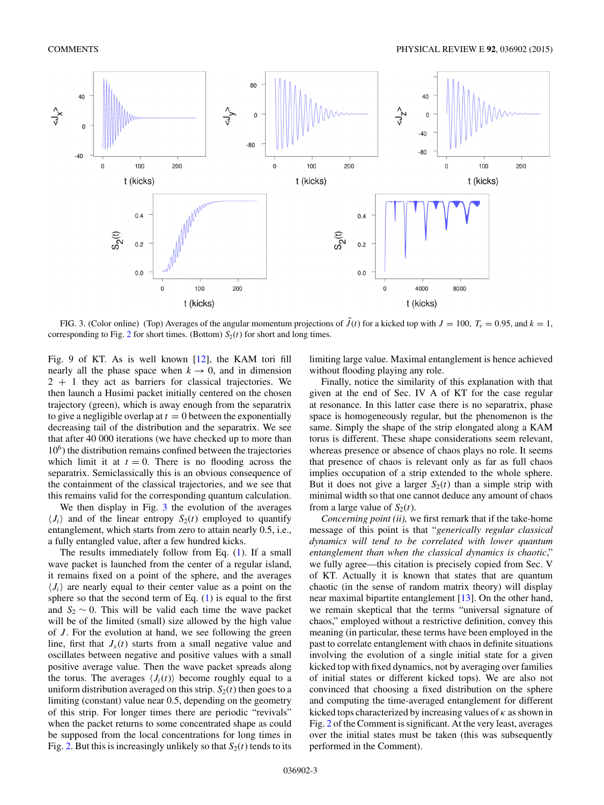<span id="page-2-0"></span>

FIG. 3. (Color online) (Top) Averages of the angular momentum projections of  $\vec{J}(t)$  for a kicked top with  $J = 100$ ,  $T_e = 0.95$ , and  $k = 1$ , corresponding to Fig. [2](#page-1-0) for short times. (Bottom)  $S_2(t)$  for short and long times.

Fig. 9 of KT. As is well known [\[12\]](#page-3-0), the KAM tori fill nearly all the phase space when  $k \to 0$ , and in dimension  $2 + 1$  they act as barriers for classical trajectories. We then launch a Husimi packet initially centered on the chosen trajectory (green), which is away enough from the separatrix to give a negligible overlap at  $t = 0$  between the exponentially decreasing tail of the distribution and the separatrix. We see that after 40 000 iterations (we have checked up to more than  $10<sup>6</sup>$ ) the distribution remains confined between the trajectories which limit it at  $t = 0$ . There is no flooding across the separatrix. Semiclassically this is an obvious consequence of the containment of the classical trajectories, and we see that this remains valid for the corresponding quantum calculation.

We then display in Fig. 3 the evolution of the averages  $\langle J_i \rangle$  and of the linear entropy  $S_2(t)$  employed to quantify entanglement, which starts from zero to attain nearly 0.5, i.e., a fully entangled value, after a few hundred kicks.

The results immediately follow from Eq. [\(1\)](#page-0-0). If a small wave packet is launched from the center of a regular island, it remains fixed on a point of the sphere, and the averages  $\langle J_i \rangle$  are nearly equal to their center value as a point on the sphere so that the second term of Eq.  $(1)$  is equal to the first and  $S_2 \sim 0$ . This will be valid each time the wave packet will be of the limited (small) size allowed by the high value of *J* . For the evolution at hand, we see following the green line, first that  $J_x(t)$  starts from a small negative value and oscillates between negative and positive values with a small positive average value. Then the wave packet spreads along the torus. The averages  $\langle J_i(t) \rangle$  become roughly equal to a uniform distribution averaged on this strip.  $S_2(t)$  then goes to a limiting (constant) value near 0.5, depending on the geometry of this strip. For longer times there are periodic "revivals" when the packet returns to some concentrated shape as could be supposed from the local concentrations for long times in Fig. [2.](#page-1-0) But this is increasingly unlikely so that  $S_2(t)$  tends to its

limiting large value. Maximal entanglement is hence achieved without flooding playing any role.

Finally, notice the similarity of this explanation with that given at the end of Sec. IV A of KT for the case regular at resonance. In this latter case there is no separatrix, phase space is homogeneously regular, but the phenomenon is the same. Simply the shape of the strip elongated along a KAM torus is different. These shape considerations seem relevant, whereas presence or absence of chaos plays no role. It seems that presence of chaos is relevant only as far as full chaos implies occupation of a strip extended to the whole sphere. But it does not give a larger  $S_2(t)$  than a simple strip with minimal width so that one cannot deduce any amount of chaos from a large value of  $S_2(t)$ .

*Concerning point (ii),* we first remark that if the take-home message of this point is that "*generically regular classical dynamics will tend to be correlated with lower quantum entanglement than when the classical dynamics is chaotic*," we fully agree—this citation is precisely copied from Sec. V of KT. Actually it is known that states that are quantum chaotic (in the sense of random matrix theory) will display near maximal bipartite entanglement [\[13\]](#page-3-0). On the other hand, we remain skeptical that the terms "universal signature of chaos," employed without a restrictive definition, convey this meaning (in particular, these terms have been employed in the past to correlate entanglement with chaos in definite situations involving the evolution of a single initial state for a given kicked top with fixed dynamics, not by averaging over families of initial states or different kicked tops). We are also not convinced that choosing a fixed distribution on the sphere and computing the time-averaged entanglement for different kicked tops characterized by increasing values of *κ* as shown in Fig. [2](#page-1-0) of the Comment is significant. At the very least, averages over the initial states must be taken (this was subsequently performed in the Comment).